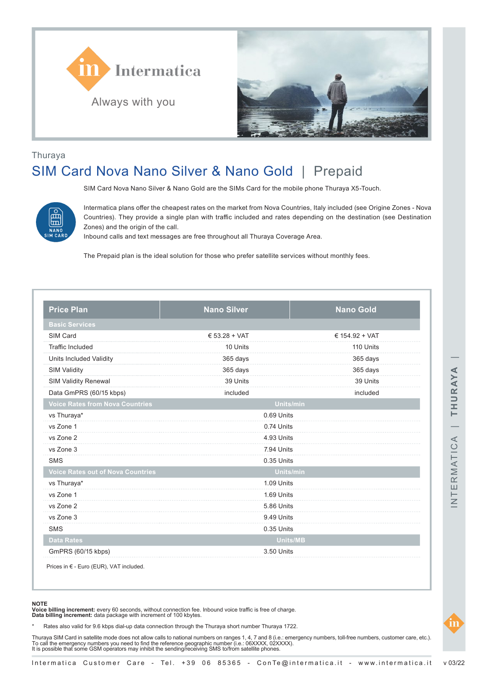



#### Thuraya

## SIM Card Nova Nano Silver & Nano Gold | Prepaid

SIM Card Nova Nano Silver & Nano Gold are the SIMs Card for the mobile phone Thuraya X5-Touch.



Intermatica plans offer the cheapest rates on the market from Nova Countries, Italy included (see Origine Zones - Nova Countries). They provide a single plan with traffic included and rates depending on the destination (see Destination Zones) and the origin of the call.

Inbound calls and text messages are free throughout all Thuraya Coverage Area.

The Prepaid plan is the ideal solution for those who prefer satellite services without monthly fees.

| <b>Price Plan</b>                        | <b>Nano Silver</b> | <b>Nano Gold</b> |  |
|------------------------------------------|--------------------|------------------|--|
| <b>Basic Services</b>                    |                    |                  |  |
| SIM Card                                 | € 53.28 + VAT      | € 154.92 + VAT   |  |
| <b>Traffic Included</b>                  | 10 Units           | 110 Units        |  |
| Units Included Validity                  | 365 days           | 365 days         |  |
| <b>SIM Validity</b>                      | 365 days           | 365 days         |  |
| <b>SIM Validity Renewal</b>              | 39 Units           | 39 Units         |  |
| Data GmPRS (60/15 kbps)                  | included           | included         |  |
| <b>Voice Rates from Nova Countries</b>   | <b>Units/min</b>   |                  |  |
| vs Thuraya*                              | 0.69 Units         |                  |  |
| vs Zone 1                                | 0.74 Units         |                  |  |
| vs Zone 2                                | 4.93 Units         |                  |  |
| vs Zone 3                                | 7.94 Units         |                  |  |
| <b>SMS</b>                               | 0.35 Units         |                  |  |
| <b>Voice Rates out of Nova Countries</b> |                    | Units/min        |  |
| vs Thuraya*                              | 1.09 Units         |                  |  |
| vs Zone 1                                | 1.69 Units         |                  |  |
| vs Zone 2                                | 5.86 Units         |                  |  |
| vs Zone 3                                | 9.49 Units         |                  |  |
| <b>SMS</b>                               | 0.35 Units         |                  |  |
| <b>Data Rates</b>                        |                    | <b>Units/MB</b>  |  |
| GmPRS (60/15 kbps)                       | 3.50 Units         |                  |  |

Prices in € - Euro (EUR), VAT included.

**NOTE Voice billing increment:** every 60 seconds, without connection fee. Inbound voice traffic is free of charge. **Data billing increment:** data package with increment of 100 kbytes.

Rates also valid for 9.6 kbps dial-up data connection through the Thuraya short number Thuraya 1722.

Thuraya SIM Card in satellite mode does not allow calls to national numbers on ranges 1, 4, 7 and 8 (i.e.: emergency numbers, toll-free numbers, customer care, etc.).<br>To call the emergency numbers you need to find the ref

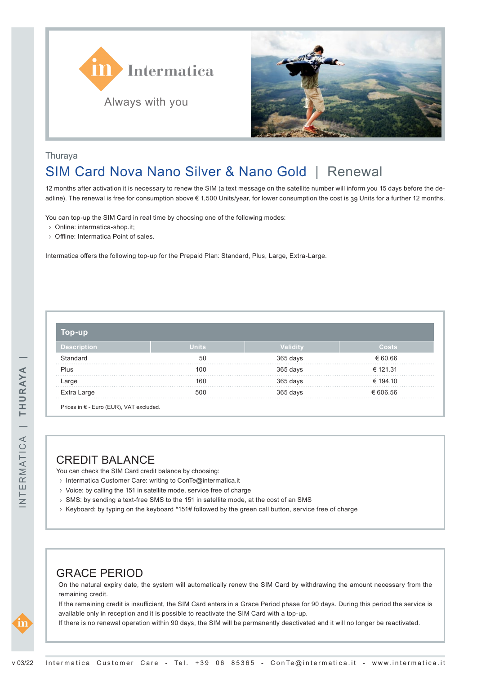



#### Thuraya

## SIM Card Nova Nano Silver & Nano Gold | Renewal

12 months after activation it is necessary to renew the SIM (a text message on the satellite number will inform you 15 days before the deadline). The renewal is free for consumption above € 1,500 Units/year, for lower consumption the cost is 39 Units for a further 12 months.

You can top-up the SIM Card in real time by choosing one of the following modes:

- › Online: intermatica-shop.it;
- › Offline: Intermatica Point of sales.

Intermatica offers the following top-up for the Prepaid Plan: Standard, Plus, Large, Extra-Large.

| $D-UD$             |       |               |               |  |
|--------------------|-------|---------------|---------------|--|
| <b>Description</b> | Units | Validity      | Costs         |  |
| Standard           | 50    | 365 days      | € 60.66       |  |
| Plus               | 100   | 365 days      | € 121.31      |  |
| Large              | 160   | .<br>365 days | € 194.10      |  |
| Extra Large        | 500   | .<br>365 days | .<br>€ 606.56 |  |

Prices in € - Euro (EUR), VAT excluded.

## CREDIT BALANCE

You can check the SIM Card credit balance by choosing:

- › Intermatica Customer Care: writing to ConTe@intermatica.it
- › Voice: by calling the 151 in satellite mode, service free of charge
- › SMS: by sending a text-free SMS to the 151 in satellite mode, at the cost of an SMS
- › Keyboard: by typing on the keyboard \*151# followed by the green call button, service free of charge

## GRACE PERIOD

On the natural expiry date, the system will automatically renew the SIM Card by withdrawing the amount necessary from the remaining credit.

If the remaining credit is insufficient, the SIM Card enters in a Grace Period phase for 90 days. During this period the service is available only in reception and it is possible to reactivate the SIM Card with a top-up.

If there is no renewal operation within 90 days, the SIM will be permanently deactivated and it will no longer be reactivated.